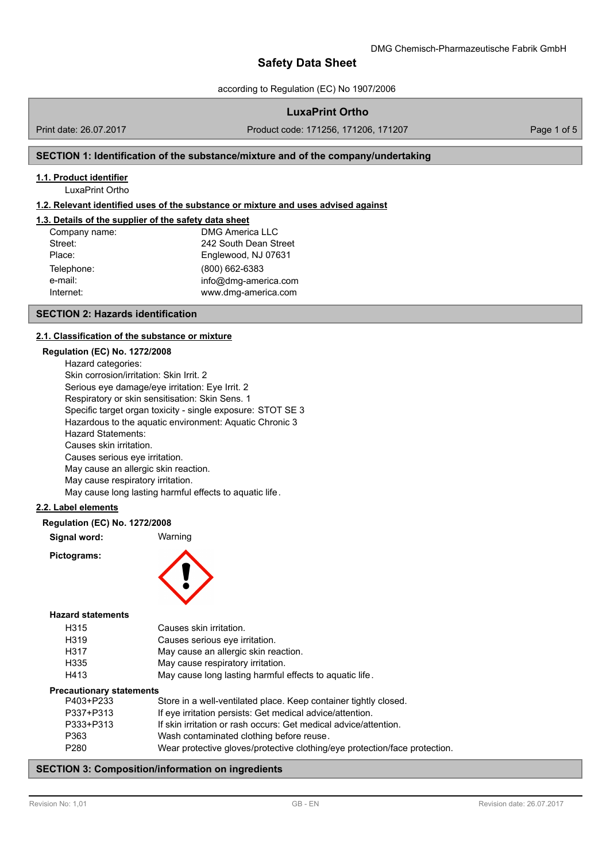according to Regulation (EC) No 1907/2006

## **LuxaPrint Ortho**

Print date: 26.07.2017 **Product code: 171256, 171206, 171207** Page 1 of 5

## **SECTION 1: Identification of the substance/mixture and of the company/undertaking**

## **1.1. Product identifier**

LuxaPrint Ortho

## **1.2. Relevant identified uses of the substance or mixture and uses advised against**

## **1.3. Details of the supplier of the safety data sheet**

| Company name: | <b>DMG America LLC</b> |
|---------------|------------------------|
| Street:       | 242 South Dean Street  |
| Place:        | Englewood, NJ 07631    |
| Telephone:    | $(800)$ 662-6383       |
| e-mail:       | info@dmg-america.com   |
| Internet:     | www.dmg-america.com    |

## **SECTION 2: Hazards identification**

## **2.1. Classification of the substance or [mixture](mailto:info@dmg-dental.com)**

## **Regulation (EC) No. 1272/2008**

| Hazard categories:                                          |
|-------------------------------------------------------------|
| Skin corrosion/irritation: Skin Irrit. 2                    |
| Serious eye damage/eye irritation: Eye Irrit. 2             |
| Respiratory or skin sensitisation: Skin Sens. 1             |
| Specific target organ toxicity - single exposure: STOT SE 3 |
| Hazardous to the aquatic environment: Aquatic Chronic 3     |
| Hazard Statements:                                          |
| Causes skin irritation.                                     |
| Causes serious eye irritation.                              |
| May cause an allergic skin reaction.                        |
| May cause respiratory irritation.                           |
| May cause long lasting harmful effects to aquatic life.     |
|                                                             |

## **2.2. Label elements**

### **Regulation (EC) No. 1272/2008**

**Signal word:** Warning

**Pictograms:**



## **Hazard statements**

| H315 | Causes skin irritation.                                 |
|------|---------------------------------------------------------|
| H319 | Causes serious eye irritation.                          |
| H317 | May cause an allergic skin reaction.                    |
| H335 | May cause respiratory irritation.                       |
| H413 | May cause long lasting harmful effects to aquatic life. |

#### **Precautionary statements**

| P403+P233        | Store in a well-ventilated place. Keep container tightly closed.           |
|------------------|----------------------------------------------------------------------------|
| P337+P313        | If eye irritation persists: Get medical advice/attention.                  |
| P333+P313        | If skin irritation or rash occurs: Get medical advice/attention.           |
| P363             | Wash contaminated clothing before reuse.                                   |
| P <sub>280</sub> | Wear protective gloves/protective clothing/eye protection/face protection. |
|                  |                                                                            |

## **SECTION 3: Composition/information on ingredients**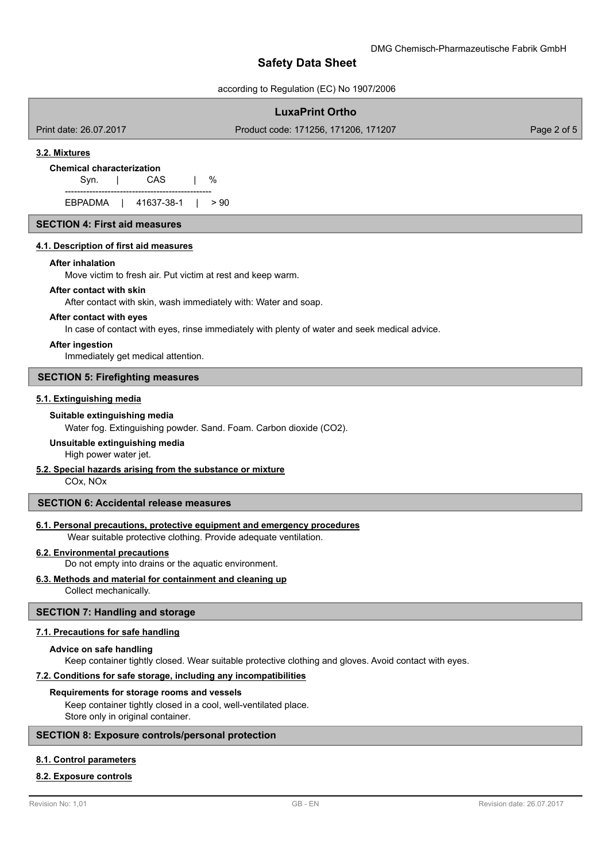### according to Regulation (EC) No 1907/2006

## **LuxaPrint Ortho**

Print date: 26.07.2017 Product code: 171256, 171206, 171207 Page 2 of 5

## **3.2. Mixtures**

## **Chemical characterization**

Syn. | CAS | %

------------------------------------------------ EBPADMA | 41637-38-1 | > 90

### **SECTION 4: First aid measures**

### **4.1. Description of first aid measures**

### **After inhalation**

Move victim to fresh air. Put victim at rest and keep warm.

### **After contact with skin**

After contact with skin, wash immediately with: Water and soap.

### **After contact with eyes**

In case of contact with eyes, rinse immediately with plenty of water and seek medical advice.

### **After ingestion**

Immediately get medical attention.

### **SECTION 5: Firefighting measures**

### **5.1. Extinguishing media**

### **Suitable extinguishing media**

Water fog. Extinguishing powder. Sand. Foam. Carbon dioxide (CO2).

### **Unsuitable extinguishing media**

High power water jet.

## **5.2. Special hazards arising from the substance or mixture**

COx, NOx

## **SECTION 6: Accidental release measures**

## **6.1. Personal precautions, protective equipment and emergency procedures**

Wear suitable protective clothing. Provide adequate ventilation.

## **6.2. Environmental precautions**

Do not empty into drains or the aquatic environment.

### **6.3. Methods and material for containment and cleaning up**

Collect mechanically.

## **SECTION 7: Handling and storage**

### **7.1. Precautions for safe handling**

#### **Advice on safe handling**

Keep container tightly closed. Wear suitable protective clothing and gloves. Avoid contact with eyes.

## **7.2. Conditions for safe storage, including any incompatibilities**

#### **Requirements for storage rooms and vessels**

Keep container tightly closed in a cool, well-ventilated place. Store only in original container.

## **SECTION 8: Exposure controls/personal protection**

## **8.1. Control parameters**

### **8.2. Exposure controls**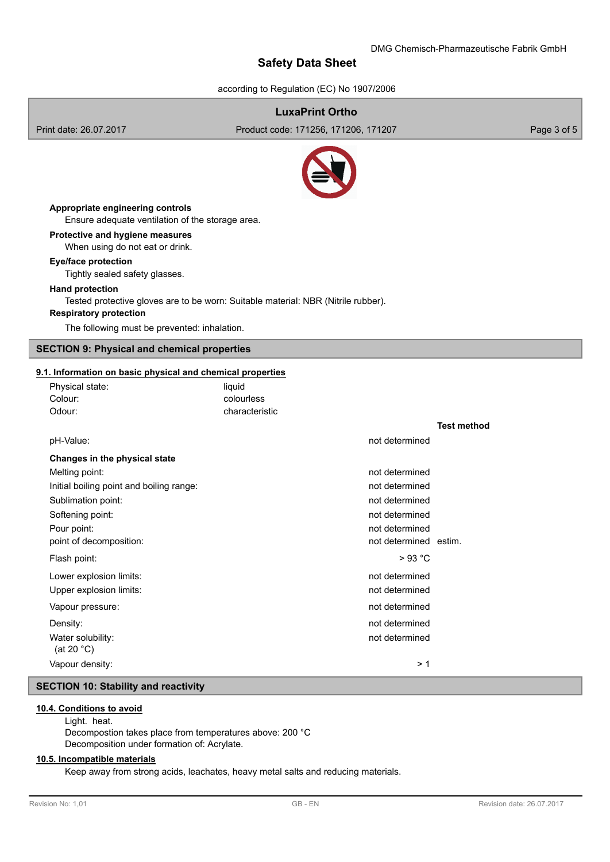according to Regulation (EC) No 1907/2006

## **LuxaPrint Ortho**

Print date: 26.07.2017 Product code: 171256, 171206, 171207 Page 3 of 5



Ensure adequate ventilation of the storage area. **Appropriate engineering controls**

## **Protective and hygiene measures**

When using do not eat or drink.

## **Eye/face protection**

Tightly sealed safety glasses.

### **Hand protection**

Tested protective gloves are to be worn: Suitable material: NBR (Nitrile rubber).

## **Respiratory protection**

The following must be prevented: inhalation.

## **SECTION 9: Physical and chemical properties**

## **9.1. Information on basic physical and chemical properties**

| Physical state:<br>Colour:               | liquid<br>colourless |                       |                    |
|------------------------------------------|----------------------|-----------------------|--------------------|
| Odour:                                   | characteristic       |                       |                    |
|                                          |                      |                       | <b>Test method</b> |
| pH-Value:                                |                      | not determined        |                    |
| Changes in the physical state            |                      |                       |                    |
| Melting point:                           |                      | not determined        |                    |
| Initial boiling point and boiling range: |                      | not determined        |                    |
| Sublimation point:                       |                      | not determined        |                    |
| Softening point:                         |                      | not determined        |                    |
| Pour point:                              |                      | not determined        |                    |
| point of decomposition:                  |                      | not determined estim. |                    |
| Flash point:                             |                      | >93 °C                |                    |
| Lower explosion limits:                  |                      | not determined        |                    |
| Upper explosion limits:                  |                      | not determined        |                    |
| Vapour pressure:                         |                      | not determined        |                    |
| Density:                                 |                      | not determined        |                    |
| Water solubility:<br>(at 20 $°C$ )       |                      | not determined        |                    |
| Vapour density:                          |                      | >1                    |                    |

## **SECTION 10: Stability and reactivity**

## **10.4. Conditions to avoid**

### Light. heat.

Decompostion takes place from temperatures above: 200 °C Decomposition under formation of: Acrylate.

## **10.5. Incompatible materials**

Keep away from strong acids, leachates, heavy metal salts and reducing materials.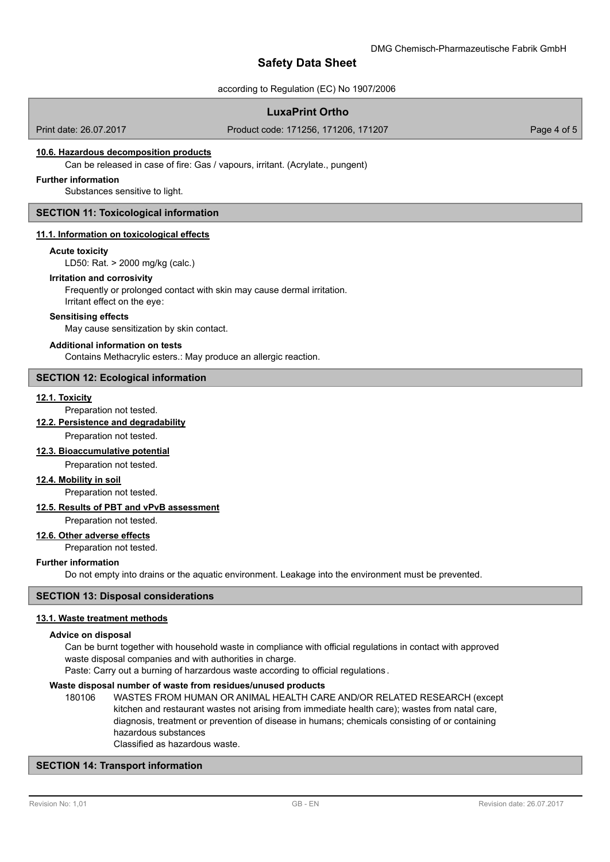according to Regulation (EC) No 1907/2006

## **LuxaPrint Ortho**

Print date: 26.07.2017 Product code: 171256, 171206, 171207 Page 4 of 5

## **10.6. Hazardous decomposition products**

Can be released in case of fire: Gas / vapours, irritant. (Acrylate., pungent)

## **Further information**

Substances sensitive to light.

## **SECTION 11: Toxicological information**

### **11.1. Information on toxicological effects**

## **Acute toxicity**

LD50: Rat. > 2000 mg/kg (calc.)

### **Irritation and corrosivity**

Frequently or prolonged contact with skin may cause dermal irritation. Irritant effect on the eye:

#### **Sensitising effects**

May cause sensitization by skin contact.

#### **Additional information on tests**

Contains Methacrylic esters.: May produce an allergic reaction.

### **SECTION 12: Ecological information**

### **12.1. Toxicity**

Preparation not tested.

#### **12.2. Persistence and degradability**

Preparation not tested.

### **12.3. Bioaccumulative potential**

Preparation not tested.

### **12.4. Mobility in soil**

Preparation not tested.

### **12.5. Results of PBT and vPvB assessment**

Preparation not tested.

## **12.6. Other adverse effects**

Preparation not tested.

### **Further information**

Do not empty into drains or the aquatic environment. Leakage into the environment must be prevented.

## **SECTION 13: Disposal considerations**

### **13.1. Waste treatment methods**

#### **Advice on disposal**

Can be burnt together with household waste in compliance with official regulations in contact with approved waste disposal companies and with authorities in charge.

Paste: Carry out a burning of harzardous waste according to official regulations .

## **Waste disposal number of waste from residues/unused products**

180106 WASTES FROM HUMAN OR ANIMAL HEALTH CARE AND/OR RELATED RESEARCH (except kitchen and restaurant wastes not arising from immediate health care); wastes from natal care, diagnosis, treatment or prevention of disease in humans; chemicals consisting of or containing hazardous substances

Classified as hazardous waste.

### **SECTION 14: Transport information**